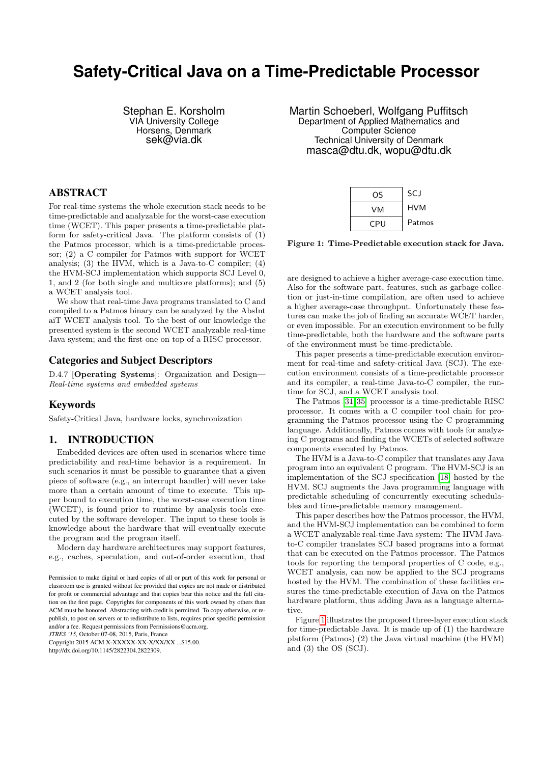# **Safety-Critical Java on a Time-Predictable Processor**

Stephan E. Korsholm VIA University College Horsens, Denmark sek@via.dk

## ABSTRACT

For real-time systems the whole execution stack needs to be time-predictable and analyzable for the worst-case execution time (WCET). This paper presents a time-predictable platform for safety-critical Java. The platform consists of (1) the Patmos processor, which is a time-predictable processor; (2) a C compiler for Patmos with support for WCET analysis; (3) the HVM, which is a Java-to-C compiler; (4) the HVM-SCJ implementation which supports SCJ Level 0, 1, and 2 (for both single and multicore platforms); and (5) a WCET analysis tool.

We show that real-time Java programs translated to C and compiled to a Patmos binary can be analyzed by the AbsInt aiT WCET analysis tool. To the best of our knowledge the presented system is the second WCET analyzable real-time Java system; and the first one on top of a RISC processor.

#### Categories and Subject Descriptors

D.4.7 [Operating Systems]: Organization and Design— Real-time systems and embedded systems

#### **Keywords**

Safety-Critical Java, hardware locks, synchronization

## 1. INTRODUCTION

Embedded devices are often used in scenarios where time predictability and real-time behavior is a requirement. In such scenarios it must be possible to guarantee that a given piece of software (e.g., an interrupt handler) will never take more than a certain amount of time to execute. This upper bound to execution time, the worst-case execution time (WCET), is found prior to runtime by analysis tools executed by the software developer. The input to these tools is knowledge about the hardware that will eventually execute the program and the program itself.

Modern day hardware architectures may support features, e.g., caches, speculation, and out-of-order execution, that

*JTRES '15,* October 07-08, 2015, Paris, France

Copyright 2015 ACM X-XXXXX-XX-X/XX/XX ...\$15.00.

http://dx.doi.org/10.1145/2822304.2822309.

Martin Schoeberl, Wolfgang Puffitsch Department of Applied Mathematics and Computer Science Technical University of Denmark masca@dtu.dk, wopu@dtu.dk

<span id="page-0-0"></span>

| OS  | SCJ        |  |
|-----|------------|--|
| VM  | <b>HVM</b> |  |
| CPU | Patmos     |  |

Figure 1: Time-Predictable execution stack for Java.

are designed to achieve a higher average-case execution time. Also for the software part, features, such as garbage collection or just-in-time compilation, are often used to achieve a higher average-case throughput. Unfortunately these features can make the job of finding an accurate WCET harder, or even impossible. For an execution environment to be fully time-predictable, both the hardware and the software parts of the environment must be time-predictable.

This paper presents a time-predictable execution environment for real-time and safety-critical Java (SCJ). The execution environment consists of a time-predictable processor and its compiler, a real-time Java-to-C compiler, the runtime for SCJ, and a WCET analysis tool.

The Patmos [\[31,](#page-8-0) [35\]](#page-8-1) processor is a time-predictable RISC processor. It comes with a C compiler tool chain for programming the Patmos processor using the C programming language. Additionally, Patmos comes with tools for analyzing C programs and finding the WCETs of selected software components executed by Patmos.

The HVM is a Java-to-C compiler that translates any Java program into an equivalent C program. The HVM-SCJ is an implementation of the SCJ specification [\[18\]](#page-7-0) hosted by the HVM. SCJ augments the Java programming language with predictable scheduling of concurrently executing schedulables and time-predictable memory management.

This paper describes how the Patmos processor, the HVM, and the HVM-SCJ implementation can be combined to form a WCET analyzable real-time Java system: The HVM Javato-C compiler translates SCJ based programs into a format that can be executed on the Patmos processor. The Patmos tools for reporting the temporal properties of C code, e.g., WCET analysis, can now be applied to the SCJ programs hosted by the HVM. The combination of these facilities ensures the time-predictable execution of Java on the Patmos hardware platform, thus adding Java as a language alternative.

Figure [1](#page-0-0) illustrates the proposed three-layer execution stack for time-predictable Java. It is made up of (1) the hardware platform (Patmos) (2) the Java virtual machine (the HVM) and (3) the OS (SCJ).

Permission to make digital or hard copies of all or part of this work for personal or classroom use is granted without fee provided that copies are not made or distributed for profit or commercial advantage and that copies bear this notice and the full citation on the first page. Copyrights for components of this work owned by others than ACM must be honored. Abstracting with credit is permitted. To copy otherwise, or republish, to post on servers or to redistribute to lists, requires prior specific permission and/or a fee. Request permissions from Permissions@acm.org.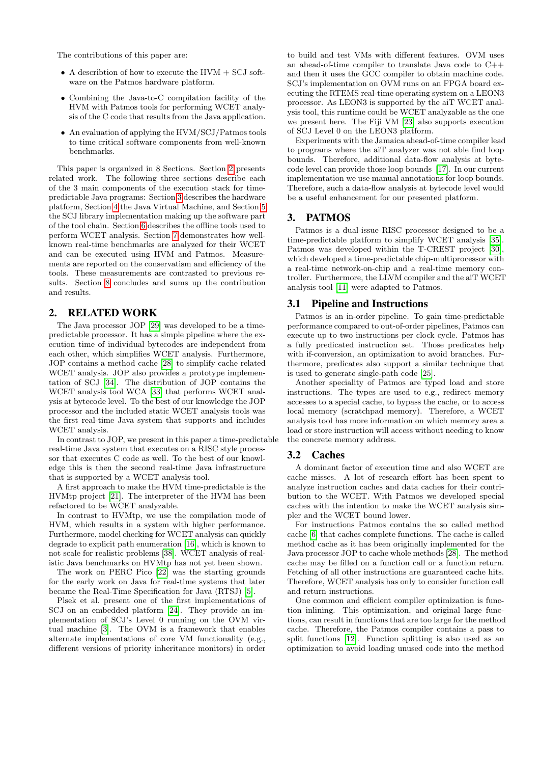The contributions of this paper are:

- A describtion of how to execute the  $HVM + SCJ$  software on the Patmos hardware platform.
- Combining the Java-to-C compilation facility of the HVM with Patmos tools for performing WCET analysis of the C code that results from the Java application.
- An evaluation of applying the HVM/SCJ/Patmos tools to time critical software components from well-known benchmarks.

This paper is organized in 8 Sections. Section [2](#page-1-0) presents related work. The following three sections describe each of the 3 main components of the execution stack for timepredictable Java programs: Section [3](#page-1-1) describes the hardware platform, Section [4](#page-2-0) the Java Virtual Machine, and Section [5](#page-3-0) the SCJ library implementation making up the software part of the tool chain. Section [6](#page-4-0) describes the offline tools used to perform WCET analysis. Section [7](#page-5-0) demonstrates how wellknown real-time benchmarks are analyzed for their WCET and can be executed using HVM and Patmos. Measurements are reported on the conservatism and efficiency of the tools. These measurements are contrasted to previous results. Section [8](#page-6-0) concludes and sums up the contribution and results.

#### <span id="page-1-0"></span>2. RELATED WORK

The Java processor JOP [\[29\]](#page-8-2) was developed to be a timepredictable processor. It has a simple pipeline where the execution time of individual bytecodes are independent from each other, which simplifies WCET analysis. Furthermore, JOP contains a method cache [\[28\]](#page-8-3) to simplify cache related WCET analysis. JOP also provides a prototype implementation of SCJ [\[34\]](#page-8-4). The distribution of JOP contains the WCET analysis tool WCA [\[33\]](#page-8-5) that performs WCET analysis at bytecode level. To the best of our knowledge the JOP processor and the included static WCET analysis tools was the first real-time Java system that supports and includes WCET analysis.

In contrast to JOP, we present in this paper a time-predictable real-time Java system that executes on a RISC style processor that executes C code as well. To the best of our knowledge this is then the second real-time Java infrastructure that is supported by a WCET analysis tool.

A first approach to make the HVM time-predictable is the HVMtp project [\[21\]](#page-7-1). The interpreter of the HVM has been refactored to be WCET analyzable.

In contrast to HVMtp, we use the compilation mode of HVM, which results in a system with higher performance. Furthermore, model checking for WCET analysis can quickly degrade to explicit path enumeration [\[16\]](#page-7-2), which is known to not scale for realistic problems [\[38\]](#page-8-6). WCET analysis of realistic Java benchmarks on HVMtp has not yet been shown.

The work on PERC Pico [\[22\]](#page-7-3) was the starting grounds for the early work on Java for real-time systems that later became the Real-Time Specification for Java (RTSJ) [\[5\]](#page-7-4).

Plsek et al. present one of the first implementations of SCJ on an embedded platform [\[24\]](#page-7-5). They provide an implementation of SCJ's Level 0 running on the OVM virtual machine [\[3\]](#page-7-6). The OVM is a framework that enables alternate implementations of core VM functionality (e.g., different versions of priority inheritance monitors) in order

to build and test VMs with different features. OVM uses an ahead-of-time compiler to translate Java code to C++ and then it uses the GCC compiler to obtain machine code. SCJ's implementation on OVM runs on an FPGA board executing the RTEMS real-time operating system on a LEON3 processor. As LEON3 is supported by the aiT WCET analysis tool, this runtime could be WCET analyzable as the one we present here. The Fiji VM [\[23\]](#page-7-7) also supports execution of SCJ Level 0 on the LEON3 platform.

Experiments with the Jamaica ahead-of-time compiler lead to programs where the aiT analyzer was not able find loop bounds. Therefore, additional data-flow analysis at bytecode level can provide those loop bounds [\[17\]](#page-7-8). In our current implementation we use manual annotations for loop bounds. Therefore, such a data-flow analysis at bytecode level would be a useful enhancement for our presented platform.

#### <span id="page-1-1"></span>3. PATMOS

Patmos is a dual-issue RISC processor designed to be a time-predictable platform to simplify WCET analysis [\[35\]](#page-8-1). Patmos was developed within the T-CREST project [\[30\]](#page-8-7), which developed a time-predictable chip-multiprocessor with a real-time network-on-chip and a real-time memory controller. Furthermore, the LLVM compiler and the aiT WCET analysis tool [\[11\]](#page-7-9) were adapted to Patmos.

#### 3.1 Pipeline and Instructions

Patmos is an in-order pipeline. To gain time-predictable performance compared to out-of-order pipelines, Patmos can execute up to two instructions per clock cycle. Patmos has a fully predicated instruction set. Those predicates help with if-conversion, an optimization to avoid branches. Furthermore, predicates also support a similar technique that is used to generate single-path code [\[25\]](#page-7-10).

Another speciality of Patmos are typed load and store instructions. The types are used to e.g., redirect memory accesses to a special cache, to bypass the cache, or to access local memory (scratchpad memory). Therefore, a WCET analysis tool has more information on which memory area a load or store instruction will access without needing to know the concrete memory address.

#### 3.2 Caches

A dominant factor of execution time and also WCET are cache misses. A lot of research effort has been spent to analyze instruction caches and data caches for their contribution to the WCET. With Patmos we developed special caches with the intention to make the WCET analysis simpler and the WCET bound lower.

For instructions Patmos contains the so called method cache [\[6\]](#page-7-11) that caches complete functions. The cache is called method cache as it has been originally implemented for the Java processor JOP to cache whole methods [\[28\]](#page-8-3). The method cache may be filled on a function call or a function return. Fetching of all other instructions are guaranteed cache hits. Therefore, WCET analysis has only to consider function call and return instructions.

One common and efficient compiler optimization is function inlining. This optimization, and original large functions, can result in functions that are too large for the method cache. Therefore, the Patmos compiler contains a pass to split functions [\[12\]](#page-7-12). Function splitting is also used as an optimization to avoid loading unused code into the method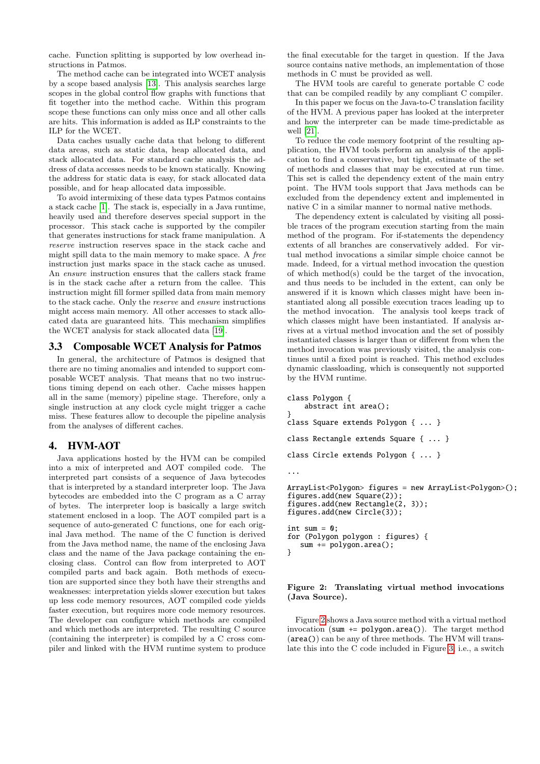cache. Function splitting is supported by low overhead instructions in Patmos.

The method cache can be integrated into WCET analysis by a scope based analysis [\[13\]](#page-7-13). This analysis searches large scopes in the global control flow graphs with functions that fit together into the method cache. Within this program scope these functions can only miss once and all other calls are hits. This information is added as ILP constraints to the ILP for the WCET.

Data caches usually cache data that belong to different data areas, such as static data, heap allocated data, and stack allocated data. For standard cache analysis the address of data accesses needs to be known statically. Knowing the address for static data is easy, for stack allocated data possible, and for heap allocated data impossible.

To avoid intermixing of these data types Patmos contains a stack cache [\[1\]](#page-6-1). The stack is, especially in a Java runtime, heavily used and therefore deserves special support in the processor. This stack cache is supported by the compiler that generates instructions for stack frame manipulation. A reserve instruction reserves space in the stack cache and might spill data to the main memory to make space. A free instruction just marks space in the stack cache as unused. An ensure instruction ensures that the callers stack frame is in the stack cache after a return from the callee. This instruction might fill former spilled data from main memory to the stack cache. Only the reserve and ensure instructions might access main memory. All other accesses to stack allocated data are guaranteed hits. This mechanism simplifies the WCET analysis for stack allocated data [\[19\]](#page-7-14).

#### 3.3 Composable WCET Analysis for Patmos

In general, the architecture of Patmos is designed that there are no timing anomalies and intended to support composable WCET analysis. That means that no two instructions timing depend on each other. Cache misses happen all in the same (memory) pipeline stage. Therefore, only a single instruction at any clock cycle might trigger a cache miss. These features allow to decouple the pipeline analysis from the analyses of different caches.

## <span id="page-2-0"></span>4. HVM-AOT

Java applications hosted by the HVM can be compiled into a mix of interpreted and AOT compiled code. The interpreted part consists of a sequence of Java bytecodes that is interpreted by a standard interpreter loop. The Java bytecodes are embedded into the C program as a C array of bytes. The interpreter loop is basically a large switch statement enclosed in a loop. The AOT compiled part is a sequence of auto-generated C functions, one for each original Java method. The name of the C function is derived from the Java method name, the name of the enclosing Java class and the name of the Java package containing the enclosing class. Control can flow from interpreted to AOT compiled parts and back again. Both methods of execution are supported since they both have their strengths and weaknesses: interpretation yields slower execution but takes up less code memory resources, AOT compiled code yields faster execution, but requires more code memory resources. The developer can configure which methods are compiled and which methods are interpreted. The resulting C source (containing the interpreter) is compiled by a C cross compiler and linked with the HVM runtime system to produce

the final executable for the target in question. If the Java source contains native methods, an implementation of those methods in C must be provided as well.

The HVM tools are careful to generate portable C code that can be compiled readily by any compliant C compiler.

In this paper we focus on the Java-to-C translation facility of the HVM. A previous paper has looked at the interpreter and how the interpreter can be made time-predictable as well [\[21\]](#page-7-1).

To reduce the code memory footprint of the resulting application, the HVM tools perform an analysis of the application to find a conservative, but tight, estimate of the set of methods and classes that may be executed at run time. This set is called the dependency extent of the main entry point. The HVM tools support that Java methods can be excluded from the dependency extent and implemented in native C in a similar manner to normal native methods.

The dependency extent is calculated by visiting all possible traces of the program execution starting from the main method of the program. For if-statements the dependency extents of all branches are conservatively added. For virtual method invocations a similar simple choice cannot be made. Indeed, for a virtual method invocation the question of which method(s) could be the target of the invocation, and thus needs to be included in the extent, can only be answered if it is known which classes might have been instantiated along all possible execution traces leading up to the method invocation. The analysis tool keeps track of which classes might have been instantiated. If analysis arrives at a virtual method invocation and the set of possibly instantiated classes is larger than or different from when the method invocation was previously visited, the analysis continues until a fixed point is reached. This method excludes dynamic classloading, which is consequently not supported by the HVM runtime.

```
class Polygon {
    abstract int area();
}
class Square extends Polygon { ... }
class Rectangle extends Square { ... }
class Circle extends Polygon { ... }
...
ArrayList<Polygon> figures = new ArrayList<Polygon>();
figures.add(new Square(2))
figures.add(new Rectangle(2, 3));
figures.add(new Circle(3));
int \sin m = 0;
for (Polygon polygon : figures) {
   sum += polygon.area();
}
```
#### <span id="page-2-1"></span>Figure 2: Translating virtual method invocations (Java Source).

Figure [2](#page-2-1) shows a Java source method with a virtual method invocation (sum  $+=$  polygon.area()). The target method (area()) can be any of three methods. The HVM will translate this into the C code included in Figure [3,](#page-3-1) i.e., a switch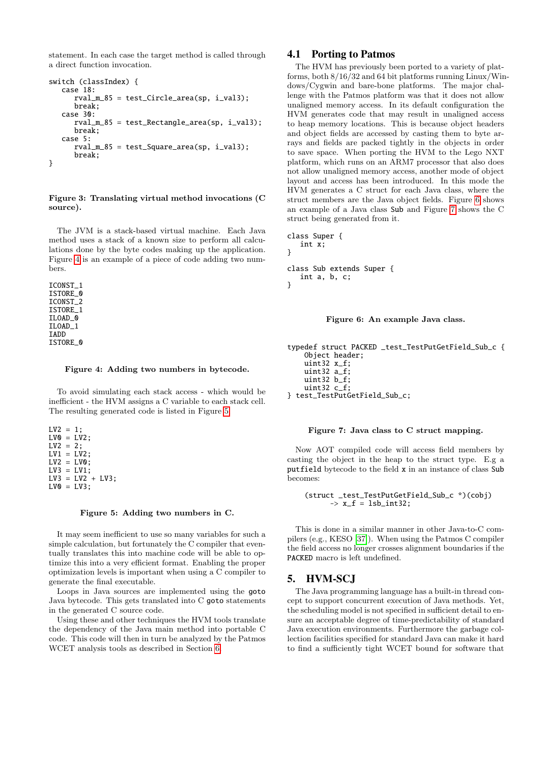statement. In each case the target method is called through a direct function invocation.

```
switch (classIndex) {
   case 18:
      rval_m_85 = test_Circle_area(sp, i_val3);
      break;
   case 30:
      rval_m_85 = test_Rectangle_area(sp, i_val3);
      break;
   case 5:
      rval_m_85 = test_Square_area(sp, i_val3);
      break;
}
```
#### <span id="page-3-1"></span>Figure 3: Translating virtual method invocations (C source).

The JVM is a stack-based virtual machine. Each Java method uses a stack of a known size to perform all calculations done by the byte codes making up the application. Figure [4](#page-3-2) is an example of a piece of code adding two numbers.

ICONST\_1 ISTORE\_0 ICONST\_2 ISTORE\_1 ILOAD\_0 ILOAD\_1 **TADD** ISTORE 0

#### <span id="page-3-2"></span>Figure 4: Adding two numbers in bytecode.

To avoid simulating each stack access - which would be inefficient - the HVM assigns a C variable to each stack cell. The resulting generated code is listed in Figure [5.](#page-3-3)

```
LV2 = 1;LVO = LV2;
LV2 = 2;
LV1 = LV2:
LV2 = LV0:
LV3 = LV1;LV3 = LV2 + LV3;LVO = LV3;
```
#### <span id="page-3-3"></span>Figure 5: Adding two numbers in C.

It may seem inefficient to use so many variables for such a simple calculation, but fortunately the C compiler that eventually translates this into machine code will be able to optimize this into a very efficient format. Enabling the proper optimization levels is important when using a C compiler to generate the final executable.

Loops in Java sources are implemented using the goto Java bytecode. This gets translated into C goto statements in the generated C source code.

Using these and other techniques the HVM tools translate the dependency of the Java main method into portable C code. This code will then in turn be analyzed by the Patmos WCET analysis tools as described in Section [6.](#page-4-0)

#### 4.1 Porting to Patmos

The HVM has previously been ported to a variety of platforms, both 8/16/32 and 64 bit platforms running Linux/Windows/Cygwin and bare-bone platforms. The major challenge with the Patmos platform was that it does not allow unaligned memory access. In its default configuration the HVM generates code that may result in unaligned access to heap memory locations. This is because object headers and object fields are accessed by casting them to byte arrays and fields are packed tightly in the objects in order to save space. When porting the HVM to the Lego NXT platform, which runs on an ARM7 processor that also does not allow unaligned memory access, another mode of object layout and access has been introduced. In this mode the HVM generates a C struct for each Java class, where the struct members are the Java object fields. Figure [6](#page-3-4) shows an example of a Java class Sub and Figure [7](#page-3-5) shows the C struct being generated from it.

```
class Super {
   int x;
}
class Sub extends Super {
   int a, b, c;
}
```
<span id="page-3-4"></span>

```
typedef struct PACKED _test_TestPutGetField_Sub_c {
    Object header;
    uint32 x_f;
    uint32 a_f;
    uint32 b_f;
    uint32 c f;
} test_TestPutGetField_Sub_c;
```
#### <span id="page-3-5"></span>Figure 7: Java class to C struct mapping.

Now AOT compiled code will access field members by casting the object in the heap to the struct type. E.g a putfield bytecode to the field x in an instance of class Sub becomes:

```
(struct _test_TestPutGetField_Sub_c *)(cobj)
       \rightarrow x_f = lsb_int32;
```
This is done in a similar manner in other Java-to-C compilers (e.g., KESO [\[37\]](#page-8-8)). When using the Patmos C compiler the field access no longer crosses alignment boundaries if the PACKED macro is left undefined.

#### <span id="page-3-0"></span>5. HVM-SCJ

The Java programming language has a built-in thread concept to support concurrent execution of Java methods. Yet, the scheduling model is not specified in sufficient detail to ensure an acceptable degree of time-predictability of standard Java execution environments. Furthermore the garbage collection facilities specified for standard Java can make it hard to find a sufficiently tight WCET bound for software that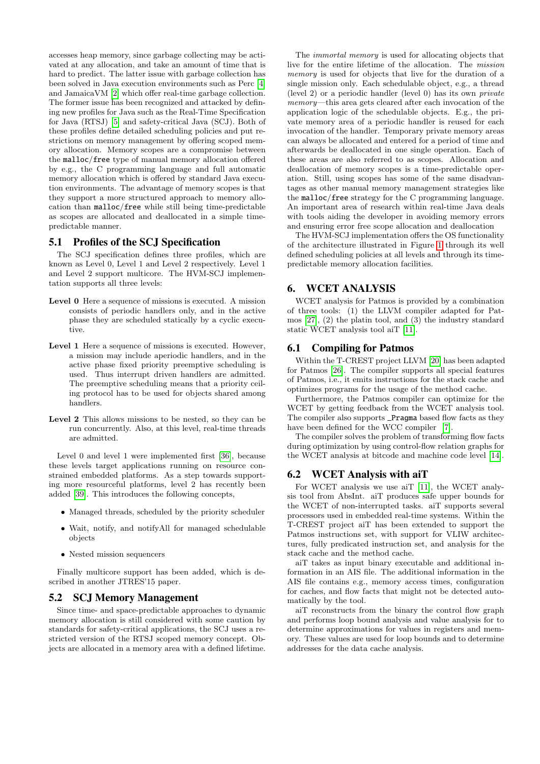accesses heap memory, since garbage collecting may be activated at any allocation, and take an amount of time that is hard to predict. The latter issue with garbage collection has been solved in Java execution environments such as Perc [\[4\]](#page-7-15) and JamaicaVM [\[2\]](#page-7-16) which offer real-time garbage collection. The former issue has been recognized and attacked by defining new profiles for Java such as the Real-Time Specification for Java (RTSJ) [\[5\]](#page-7-4) and safety-critical Java (SCJ). Both of these profiles define detailed scheduling policies and put restrictions on memory management by offering scoped memory allocation. Memory scopes are a compromise between the malloc/free type of manual memory allocation offered by e.g., the C programming language and full automatic memory allocation which is offered by standard Java execution environments. The advantage of memory scopes is that they support a more structured approach to memory allocation than malloc/free while still being time-predictable as scopes are allocated and deallocated in a simple timepredictable manner.

## 5.1 Profiles of the SCJ Specification

The SCJ specification defines three profiles, which are known as Level 0, Level 1 and Level 2 respectively. Level 1 and Level 2 support multicore. The HVM-SCJ implementation supports all three levels:

- Level 0 Here a sequence of missions is executed. A mission consists of periodic handlers only, and in the active phase they are scheduled statically by a cyclic executive.
- Level 1 Here a sequence of missions is executed. However, a mission may include aperiodic handlers, and in the active phase fixed priority preemptive scheduling is used. Thus interrupt driven handlers are admitted. The preemptive scheduling means that a priority ceiling protocol has to be used for objects shared among handlers.
- Level 2 This allows missions to be nested, so they can be run concurrently. Also, at this level, real-time threads are admitted.

Level 0 and level 1 were implemented first [\[36\]](#page-8-9), because these levels target applications running on resource constrained embedded platforms. As a step towards supporting more resourceful platforms, level 2 has recently been added [\[39\]](#page-8-10). This introduces the following concepts,

- Managed threads, scheduled by the priority scheduler
- Wait, notify, and notifyAll for managed schedulable objects
- Nested mission sequencers

Finally multicore support has been added, which is described in another JTRES'15 paper.

## 5.2 SCJ Memory Management

Since time- and space-predictable approaches to dynamic memory allocation is still considered with some caution by standards for safety-critical applications, the SCJ uses a restricted version of the RTSJ scoped memory concept. Objects are allocated in a memory area with a defined lifetime.

The immortal memory is used for allocating objects that live for the entire lifetime of the allocation. The mission memory is used for objects that live for the duration of a single mission only. Each schedulable object, e.g., a thread (level 2) or a periodic handler (level 0) has its own private memory—this area gets cleared after each invocation of the application logic of the schedulable objects. E.g., the private memory area of a periodic handler is reused for each invocation of the handler. Temporary private memory areas can always be allocated and entered for a period of time and afterwards be deallocated in one single operation. Each of these areas are also referred to as scopes. Allocation and deallocation of memory scopes is a time-predictable operation. Still, using scopes has some of the same disadvantages as other manual memory management strategies like the malloc/free strategy for the C programming language. An important area of research within real-time Java deals with tools aiding the developer in avoiding memory errors and ensuring error free scope allocation and deallocation

The HVM-SCJ implementation offers the OS functionality of the architecture illustrated in Figure [1](#page-0-0) through its well defined scheduling policies at all levels and through its timepredictable memory allocation facilities.

#### <span id="page-4-0"></span>6. WCET ANALYSIS

WCET analysis for Patmos is provided by a combination of three tools: (1) the LLVM compiler adapted for Patmos [\[27\]](#page-8-11), (2) the platin tool, and (3) the industry standard static WCET analysis tool aiT [\[11\]](#page-7-9).

#### 6.1 Compiling for Patmos

Within the T-CREST project LLVM [\[20\]](#page-7-17) has been adapted for Patmos [\[26\]](#page-7-18). The compiler supports all special features of Patmos, i.e., it emits instructions for the stack cache and optimizes programs for the usage of the method cache.

Furthermore, the Patmos compiler can optimize for the WCET by getting feedback from the WCET analysis tool. The compiler also supports **\_Pragma** based flow facts as they have been defined for the WCC compiler [\[7\]](#page-7-19).

The compiler solves the problem of transforming flow facts during optimization by using control-flow relation graphs for the WCET analysis at bitcode and machine code level [\[14\]](#page-7-20).

#### 6.2 WCET Analysis with aiT

For WCET analysis we use aiT [\[11\]](#page-7-9), the WCET analysis tool from AbsInt. aiT produces safe upper bounds for the WCET of non-interrupted tasks. aiT supports several processors used in embedded real-time systems. Within the T-CREST project aiT has been extended to support the Patmos instructions set, with support for VLIW architectures, fully predicated instruction set, and analysis for the stack cache and the method cache.

aiT takes as input binary executable and additional information in an AIS file. The additional information in the AIS file contains e.g., memory access times, configuration for caches, and flow facts that might not be detected automatically by the tool.

aiT reconstructs from the binary the control flow graph and performs loop bound analysis and value analysis for to determine approximations for values in registers and memory. These values are used for loop bounds and to determine addresses for the data cache analysis.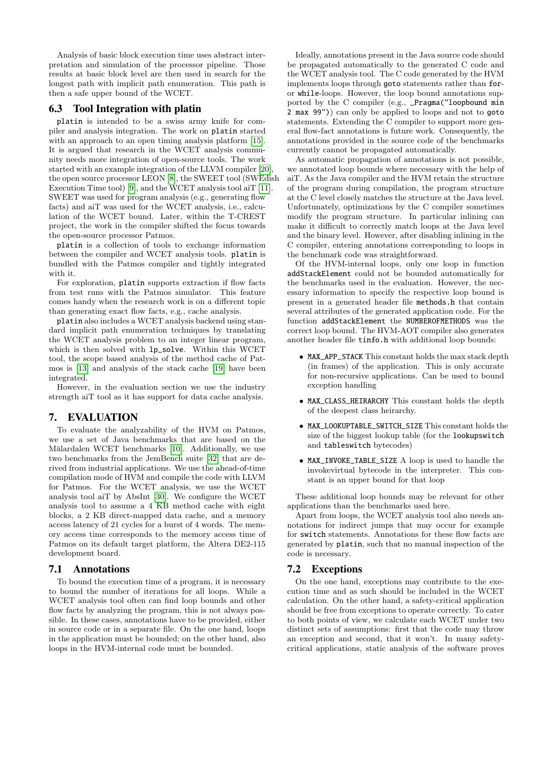Analysis of basic block execution time uses abstract interpretation and simulation of the processor pipeline. Those results at basic block level are then used in search for the longest path with implicit path enumeration. This path is then a safe upper bound of the WCET.

#### 6.3 Tool Integration with platin

platin is intended to be a swiss army knife for compiler and analysis integration. The work on platin started with an approach to an open timing analysis platform [\[15\]](#page-7-21). It is argued that research in the WCET analysis community needs more integration of open-source tools. The work started with an example integration of the LLVM compiler [\[20\]](#page-7-17), the open source processor LEON [\[8\]](#page-7-22), the SWEET tool (SWEdish Execution Time tool) [\[9\]](#page-7-23), and the WCET analysis tool aiT [\[11\]](#page-7-9). SWEET was used for program analysis (e.g., generating flow facts) and aiT was used for the WCET analysis, i.e., calculation of the WCET bound. Later, within the T-CREST project, the work in the compiler shifted the focus towards the open-source processor Patmos.

platin is a collection of tools to exchange information between the compiler and WCET analysis tools. platin is bundled with the Patmos compiler and tightly integrated with it.

For exploration, platin supports extraction if flow facts from test runs with the Patmos simulator. This feature comes handy when the research work is on a different topic than generating exact flow facts, e.g., cache analysis.

platin also includes a WCET analysis backend using standard implicit path enumeration techniques by translating the WCET analysis problem to an integer linear program, which is then solved with lp\_solve. Within this WCET tool, the scope based analysis of the method cache of Patmos is [\[13\]](#page-7-13) and analysis of the stack cache [\[19\]](#page-7-14) have been integrated.

However, in the evaluation section we use the industry strength aiT tool as it has support for data cache analysis.

#### <span id="page-5-0"></span>7. EVALUATION

To evaluate the analyzability of the HVM on Patmos, we use a set of Java benchmarks that are based on the Mälardalen WCET benchmarks [\[10\]](#page-7-24). Additionally, we use two benchmarks from the JemBench suite [\[32\]](#page-8-12) that are derived from industrial applications. We use the ahead-of-time compilation mode of HVM and compile the code with LLVM for Patmos. For the WCET analysis, we use the WCET analysis tool aiT by AbsInt [\[30\]](#page-8-7). We configure the WCET analysis tool to assume a 4 KB method cache with eight blocks, a 2 KB direct-mapped data cache, and a memory access latency of 21 cycles for a burst of 4 words. The memory access time corresponds to the memory access time of Patmos on its default target platform, the Altera DE2-115 development board.

#### 7.1 Annotations

To bound the execution time of a program, it is necessary to bound the number of iterations for all loops. While a WCET analysis tool often can find loop bounds and other flow facts by analyzing the program, this is not always possible. In these cases, annotations have to be provided, either in source code or in a separate file. On the one hand, loops in the application must be bounded; on the other hand, also loops in the HVM-internal code must be bounded.

Ideally, annotations present in the Java source code should be propagated automatically to the generated C code and the WCET analysis tool. The C code generated by the HVM implements loops through goto statements rather than foror while-loops. However, the loop bound annotations supported by the C compiler (e.g., \_Pragma("loopbound min 2 max 99")) can only be applied to loops and not to goto statements. Extending the C compiler to support more general flow-fact annotations is future work. Consequently, the annotations provided in the source code of the benchmarks currently cannot be propagated automatically.

As automatic propagation of annotations is not possible, we annotated loop bounds where necessary with the help of aiT. As the Java compiler and the HVM retain the structure of the program during compilation, the program structure at the C level closely matches the structure at the Java level. Unfortunately, optimizations by the C compiler sometimes modify the program structure. In particular inlining can make it difficult to correctly match loops at the Java level and the binary level. However, after disabling inlining in the C compiler, entering annotations corresponding to loops in the benchmark code was straightforward.

Of the HVM-internal loops, only one loop in function addStackElement could not be bounded automatically for the benchmarks used in the evaluation. However, the necessary information to specify the respective loop bound is present in a generated header file methods.h that contain several attributes of the generated application code. For the function addStackElement the NUMBEROFMETHODS was the correct loop bound. The HVM-AOT compiler also generates another header file tinfo.h with additional loop bounds:

- MAX APP STACK This constant holds the max stack depth (in frames) of the application. This is only accurate for non-recursive applications. Can be used to bound exception handling
- MAX\_CLASS\_HEIRARCHY This constant holds the depth of the deepest class heirarchy.
- MAX\_LOOKUPTABLE\_SWITCH\_SIZE This constant holds the size of the biggest lookup table (for the lookupswitch and tableswitch bytecodes)
- MAX\_INVOKE\_TABLE\_SIZE A loop is used to handle the invokevirtual bytecode in the interpreter. This constant is an upper bound for that loop

These additional loop bounds may be relevant for other applications than the benchmarks used here.

Apart from loops, the WCET analysis tool also needs annotations for indirect jumps that may occur for example for switch statements. Annotations for these flow facts are generated by platin, such that no manual inspection of the code is necessary.

## 7.2 Exceptions

On the one hand, exceptions may contribute to the execution time and as such should be included in the WCET calculation. On the other hand, a safety-critical application should be free from exceptions to operate correctly. To cater to both points of view, we calculate each WCET under two distinct sets of assumptions: first that the code may throw an exception and second, that it won't. In many safetycritical applications, static analysis of the software proves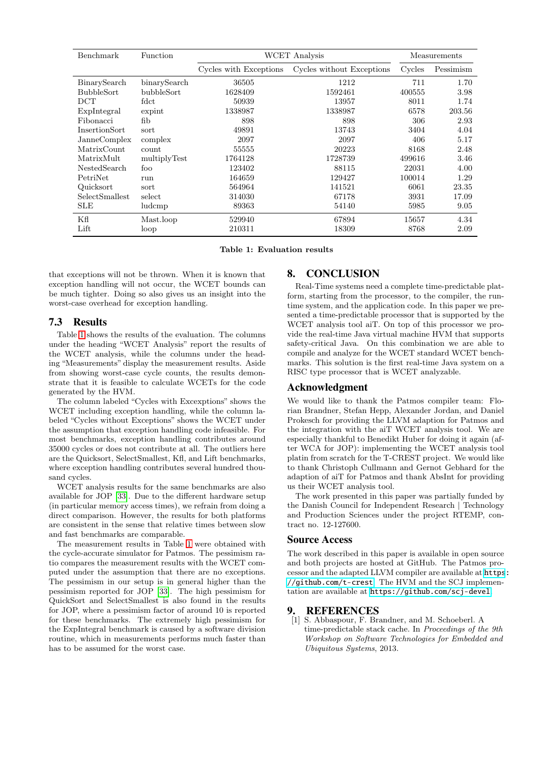| Benchmark             | <b>Function</b> | WCET Analysis          |                           | Measurements |           |
|-----------------------|-----------------|------------------------|---------------------------|--------------|-----------|
|                       |                 | Cycles with Exceptions | Cycles without Exceptions | Cycles       | Pessimism |
| BinarySearch          | binarySearch    | 36505                  | 1212                      | 711          | 1.70      |
| <b>BubbleSort</b>     | bubbleSort      | 1628409                | 1592461                   | 400555       | 3.98      |
| DCT                   | $_{\rm fdet}$   | 50939                  | 13957                     | 8011         | 1.74      |
| ExpIntegral           | expint          | 1338987                | 1338987                   | 6578         | 203.56    |
| Fibonacci             | fib             | 898                    | 898                       | 306          | 2.93      |
| <b>InsertionSort</b>  | sort            | 49891                  | 13743                     | 3404         | 4.04      |
| JanneComplex          | complex         | 2097                   | 2097                      | 406          | 5.17      |
| MatrixCount           | count           | 55555                  | 20223                     | 8168         | 2.48      |
| MatrixMult            | multiplyTest    | 1764128                | 1728739                   | 499616       | 3.46      |
| <b>NestedSearch</b>   | $f_{OO}$        | 123402                 | 88115                     | 22031        | 4.00      |
| PetriNet              | run             | 164659                 | 129427                    | 100014       | 1.29      |
| Quicksort             | sort            | 564964                 | 141521                    | 6061         | 23.35     |
| <b>SelectSmallest</b> | select          | 314030                 | 67178                     | 3931         | 17.09     |
| <b>SLE</b>            | ludcmp          | 89363                  | 54140                     | 5985         | 9.05      |
| Кfl                   | Mast.loop       | 529940                 | 67894                     | 15657        | 4.34      |
| Lift                  | loop            | 210311                 | 18309                     | 8768         | 2.09      |

Table 1: Evaluation results

that exceptions will not be thrown. When it is known that exception handling will not occur, the WCET bounds can be much tighter. Doing so also gives us an insight into the worst-case overhead for exception handling.

## 7.3 Results

Table [1](#page-6-2) shows the results of the evaluation. The columns under the heading "WCET Analysis" report the results of the WCET analysis, while the columns under the heading "Measurements" display the measurement results. Aside from showing worst-case cycle counts, the results demonstrate that it is feasible to calculate WCETs for the code generated by the HVM.

The column labeled "Cycles with Excexptions" shows the WCET including exception handling, while the column labeled "Cycles without Exceptions" shows the WCET under the assumption that exception handling code infeasible. For most benchmarks, exception handling contributes around 35000 cycles or does not contribute at all. The outliers here are the Quicksort, SelectSmallest, Kfl, and Lift benchmarks, where exception handling contributes several hundred thousand cycles.

WCET analysis results for the same benchmarks are also available for JOP [\[33\]](#page-8-5). Due to the different hardware setup (in particular memory access times), we refrain from doing a direct comparison. However, the results for both platforms are consistent in the sense that relative times between slow and fast benchmarks are comparable.

The measurement results in Table [1](#page-6-2) were obtained with the cycle-accurate simulator for Patmos. The pessimism ratio compares the measurement results with the WCET computed under the assumption that there are no exceptions. The pessimism in our setup is in general higher than the pessimism reported for JOP [\[33\]](#page-8-5). The high pessimism for QuickSort and SelectSmallest is also found in the results for JOP, where a pessimism factor of around 10 is reported for these benchmarks. The extremely high pessimism for the ExpIntegral benchmark is caused by a software division routine, which in measurements performs much faster than has to be assumed for the worst case.

# <span id="page-6-2"></span><span id="page-6-0"></span>8. CONCLUSION

Real-Time systems need a complete time-predictable platform, starting from the processor, to the compiler, the runtime system, and the application code. In this paper we presented a time-predictable processor that is supported by the WCET analysis tool aiT. On top of this processor we provide the real-time Java virtual machine HVM that supports safety-critical Java. On this combination we are able to compile and analyze for the WCET standard WCET benchmarks. This solution is the first real-time Java system on a RISC type processor that is WCET analyzable.

# Acknowledgment

We would like to thank the Patmos compiler team: Florian Brandner, Stefan Hepp, Alexander Jordan, and Daniel Prokesch for providing the LLVM adaption for Patmos and the integration with the aiT WCET analysis tool. We are especially thankful to Benedikt Huber for doing it again (after WCA for JOP): implementing the WCET analysis tool platin from scratch for the T-CREST project. We would like to thank Christoph Cullmann and Gernot Gebhard for the adaption of aiT for Patmos and thank AbsInt for providing us their WCET analysis tool.

The work presented in this paper was partially funded by the Danish Council for Independent Research | Technology and Production Sciences under the project RTEMP, contract no. 12-127600.

## Source Access

The work described in this paper is available in open source and both projects are hosted at GitHub. The Patmos processor and the adapted LLVM compiler are available at [https](https://github.com/t-crest): [//github.com/t-crest](https://github.com/t-crest). The HVM and the SCJ implementation are available at <https://github.com/scj-devel>.

# **REFERENCES**

<span id="page-6-1"></span>[1] S. Abbaspour, F. Brandner, and M. Schoeberl. A time-predictable stack cache. In Proceedings of the 9th Workshop on Software Technologies for Embedded and Ubiquitous Systems, 2013.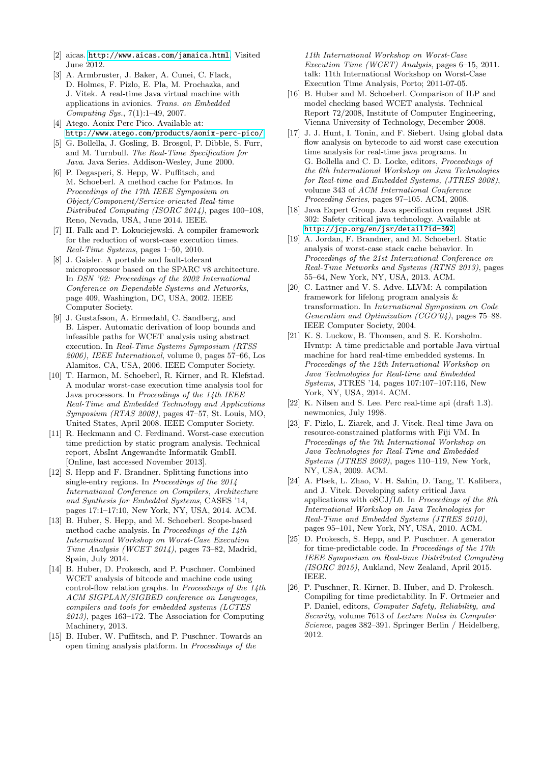- <span id="page-7-16"></span>[2] aicas. <http://www.aicas.com/jamaica.html>. Visited June 2012.
- <span id="page-7-6"></span>[3] A. Armbruster, J. Baker, A. Cunei, C. Flack, D. Holmes, F. Pizlo, E. Pla, M. Prochazka, and J. Vitek. A real-time Java virtual machine with applications in avionics. Trans. on Embedded Computing Sys., 7(1):1–49, 2007.
- <span id="page-7-15"></span>[4] Atego. Aonix Perc Pico. Available at: <http://www.atego.com/products/aonix-perc-pico/>.
- <span id="page-7-4"></span>[5] G. Bollella, J. Gosling, B. Brosgol, P. Dibble, S. Furr, and M. Turnbull. The Real-Time Specification for Java. Java Series. Addison-Wesley, June 2000.
- <span id="page-7-11"></span>[6] P. Degasperi, S. Hepp, W. Puffitsch, and M. Schoeberl. A method cache for Patmos. In Proceedings of the 17th IEEE Symposium on Object/Component/Service-oriented Real-time Distributed Computing (ISORC 2014), pages 100–108, Reno, Nevada, USA, June 2014. IEEE.
- <span id="page-7-19"></span>[7] H. Falk and P. Lokuciejewski. A compiler framework for the reduction of worst-case execution times. Real-Time Systems, pages 1–50, 2010.
- <span id="page-7-22"></span>[8] J. Gaisler. A portable and fault-tolerant microprocessor based on the SPARC v8 architecture. In DSN '02: Proceedings of the 2002 International Conference on Dependable Systems and Networks, page 409, Washington, DC, USA, 2002. IEEE Computer Society.
- <span id="page-7-23"></span>[9] J. Gustafsson, A. Ermedahl, C. Sandberg, and B. Lisper. Automatic derivation of loop bounds and infeasible paths for WCET analysis using abstract execution. In Real-Time Systems Symposium (RTSS 2006), IEEE International, volume 0, pages 57–66, Los Alamitos, CA, USA, 2006. IEEE Computer Society.
- <span id="page-7-24"></span>[10] T. Harmon, M. Schoeberl, R. Kirner, and R. Klefstad. A modular worst-case execution time analysis tool for Java processors. In Proceedings of the 14th IEEE Real-Time and Embedded Technology and Applications Symposium (RTAS 2008), pages 47–57, St. Louis, MO, United States, April 2008. IEEE Computer Society.
- <span id="page-7-9"></span>[11] R. Heckmann and C. Ferdinand. Worst-case execution time prediction by static program analysis. Technical report, AbsInt Angewandte Informatik GmbH. [Online, last accessed November 2013].
- <span id="page-7-12"></span>[12] S. Hepp and F. Brandner. Splitting functions into single-entry regions. In Proceedings of the 2014 International Conference on Compilers, Architecture and Synthesis for Embedded Systems, CASES '14, pages 17:1–17:10, New York, NY, USA, 2014. ACM.
- <span id="page-7-13"></span>[13] B. Huber, S. Hepp, and M. Schoeberl. Scope-based method cache analysis. In Proceedings of the 14th International Workshop on Worst-Case Execution Time Analysis (WCET 2014), pages 73–82, Madrid, Spain, July 2014.
- <span id="page-7-20"></span>[14] B. Huber, D. Prokesch, and P. Puschner. Combined WCET analysis of bitcode and machine code using control-flow relation graphs. In Proceedings of the 14th ACM SIGPLAN/SIGBED conference on Languages, compilers and tools for embedded systems (LCTES 2013), pages 163–172. The Association for Computing Machinery, 2013.
- <span id="page-7-21"></span>[15] B. Huber, W. Puffitsch, and P. Puschner. Towards an open timing analysis platform. In Proceedings of the

11th International Workshop on Worst-Case Execution Time (WCET) Analysis, pages 6–15, 2011. talk: 11th International Workshop on Worst-Case Execution Time Analysis, Porto; 2011-07-05.

- <span id="page-7-2"></span>[16] B. Huber and M. Schoeberl. Comparison of ILP and model checking based WCET analysis. Technical Report 72/2008, Institute of Computer Engineering, Vienna University of Technology, December 2008.
- <span id="page-7-8"></span>[17] J. J. Hunt, I. Tonin, and F. Siebert. Using global data flow analysis on bytecode to aid worst case execution time analysis for real-time java programs. In G. Bollella and C. D. Locke, editors, Proceedings of the 6th International Workshop on Java Technologies for Real-time and Embedded Systems, (JTRES 2008), volume 343 of ACM International Conference Proceeding Series, pages 97–105. ACM, 2008.
- <span id="page-7-0"></span>[18] Java Expert Group. Java specification request JSR 302: Safety critical java technology. Available at <http://jcp.org/en/jsr/detail?id=302>.
- <span id="page-7-14"></span>[19] A. Jordan, F. Brandner, and M. Schoeberl. Static analysis of worst-case stack cache behavior. In Proceedings of the 21st International Conference on Real-Time Networks and Systems (RTNS 2013), pages 55–64, New York, NY, USA, 2013. ACM.
- <span id="page-7-17"></span>[20] C. Lattner and V. S. Adve. LLVM: A compilation framework for lifelong program analysis & transformation. In International Symposium on Code Generation and Optimization (CGO'04), pages 75–88. IEEE Computer Society, 2004.
- <span id="page-7-1"></span>[21] K. S. Luckow, B. Thomsen, and S. E. Korsholm. Hvmtp: A time predictable and portable Java virtual machine for hard real-time embedded systems. In Proceedings of the 12th International Workshop on Java Technologies for Real-time and Embedded Systems, JTRES '14, pages 107:107–107:116, New York, NY, USA, 2014. ACM.
- <span id="page-7-3"></span>[22] K. Nilsen and S. Lee. Perc real-time api (draft 1.3). newmonics, July 1998.
- <span id="page-7-7"></span>[23] F. Pizlo, L. Ziarek, and J. Vitek. Real time Java on resource-constrained platforms with Fiji VM. In Proceedings of the 7th International Workshop on Java Technologies for Real-Time and Embedded Systems (JTRES 2009), pages 110–119, New York, NY, USA, 2009. ACM.
- <span id="page-7-5"></span>[24] A. Plsek, L. Zhao, V. H. Sahin, D. Tang, T. Kalibera, and J. Vitek. Developing safety critical Java applications with  $\mathrm{o}\mathrm{SCJ}$ /L0. In Proceedings of the 8th International Workshop on Java Technologies for Real-Time and Embedded Systems (JTRES 2010), pages 95–101, New York, NY, USA, 2010. ACM.
- <span id="page-7-10"></span>[25] D. Prokesch, S. Hepp, and P. Puschner. A generator for time-predictable code. In Proceedings of the 17th IEEE Symposium on Real-time Distributed Computing (ISORC 2015), Aukland, New Zealand, April 2015. IEEE.
- <span id="page-7-18"></span>[26] P. Puschner, R. Kirner, B. Huber, and D. Prokesch. Compiling for time predictability. In F. Ortmeier and P. Daniel, editors, Computer Safety, Reliability, and Security, volume 7613 of Lecture Notes in Computer Science, pages 382–391. Springer Berlin / Heidelberg, 2012.